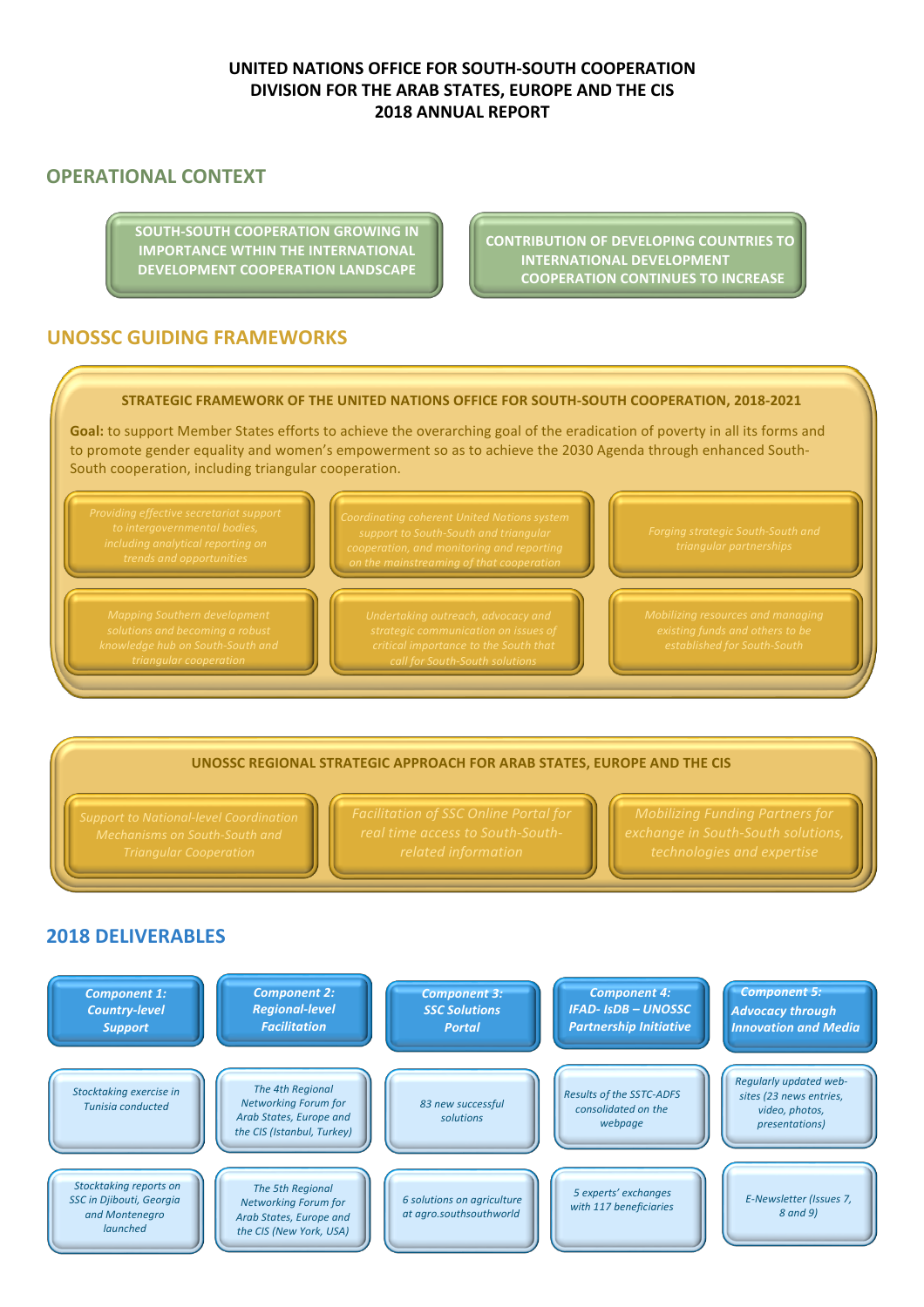# **UNITED NATIONS OFFICE FOR SOUTH-SOUTH COOPERATION DIVISION FOR THE ARAB STATES, EUROPE AND THE CIS 2018 ANNUAL REPORT**

# **OPERATIONAL CONTEXT**

**SOUTH-SOUTH COOPERATION GROWING IN IMPORTANCE WTHIN THE INTERNATIONAL DEVELOPMENT COOPERATION LANDSCAPE** 

**CONTRIBUTION OF DEVELOPING COUNTRIES TO INTERNATIONAL DEVELOPMENT COOPERATION CONTINUES TO INCREASE** 

# **UNOSSC GUIDING FRAMEWORKS**

#### **STRATEGIC FRAMEWORK OF THE UNITED NATIONS OFFICE FOR SOUTH-SOUTH COOPERATION, 2018-2021**

Goal: to support Member States efforts to achieve the overarching goal of the eradication of poverty in all its forms and to promote gender equality and women's empowerment so as to achieve the 2030 Agenda through enhanced South-South cooperation, including triangular cooperation.



*triangular cooperation*

*call for South-South solutions*

#### UNOSSC REGIONAL STRATEGIC APPROACH FOR ARAB STATES, EUROPE AND THE CIS

# **2018 DELIVERABLES**

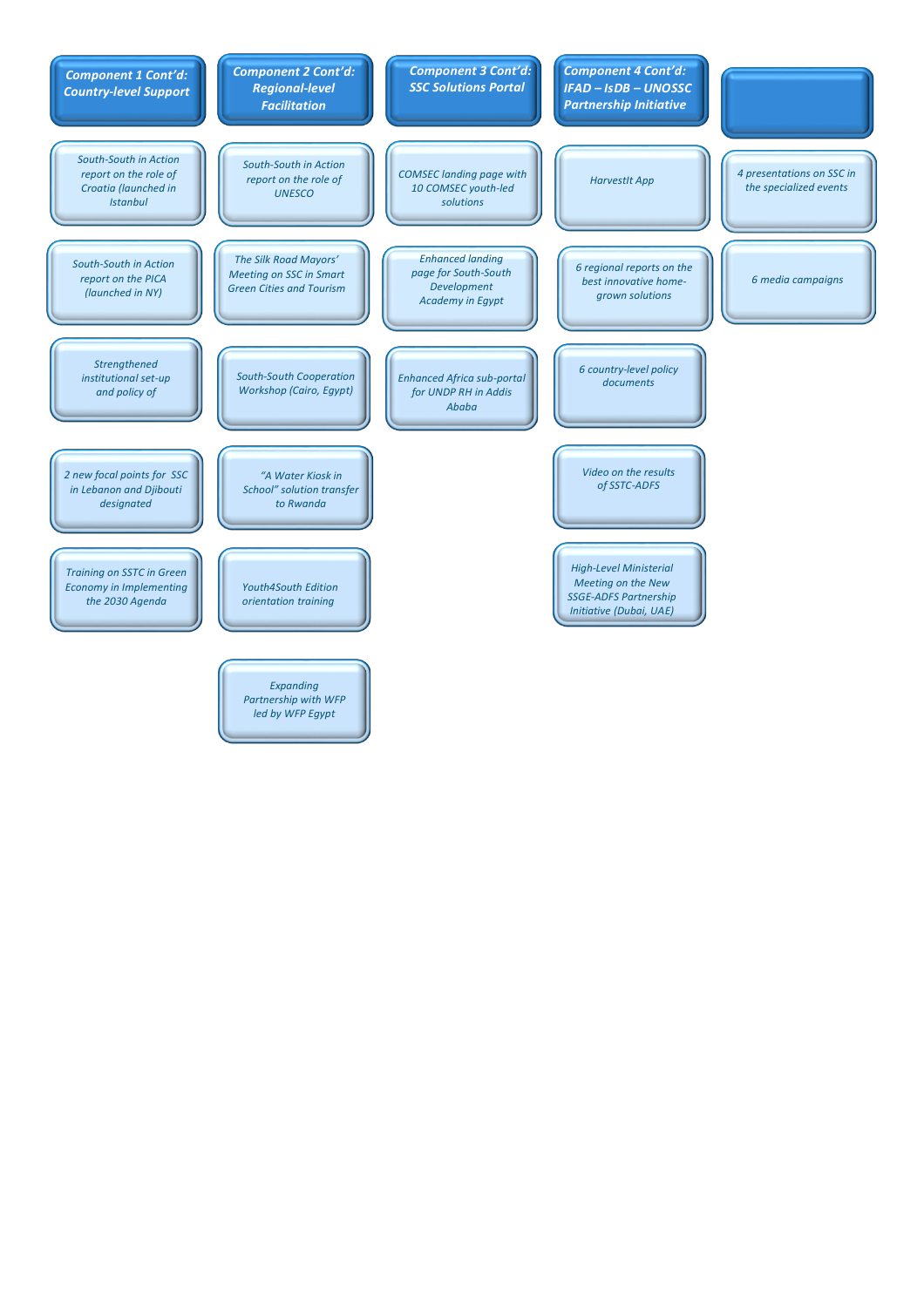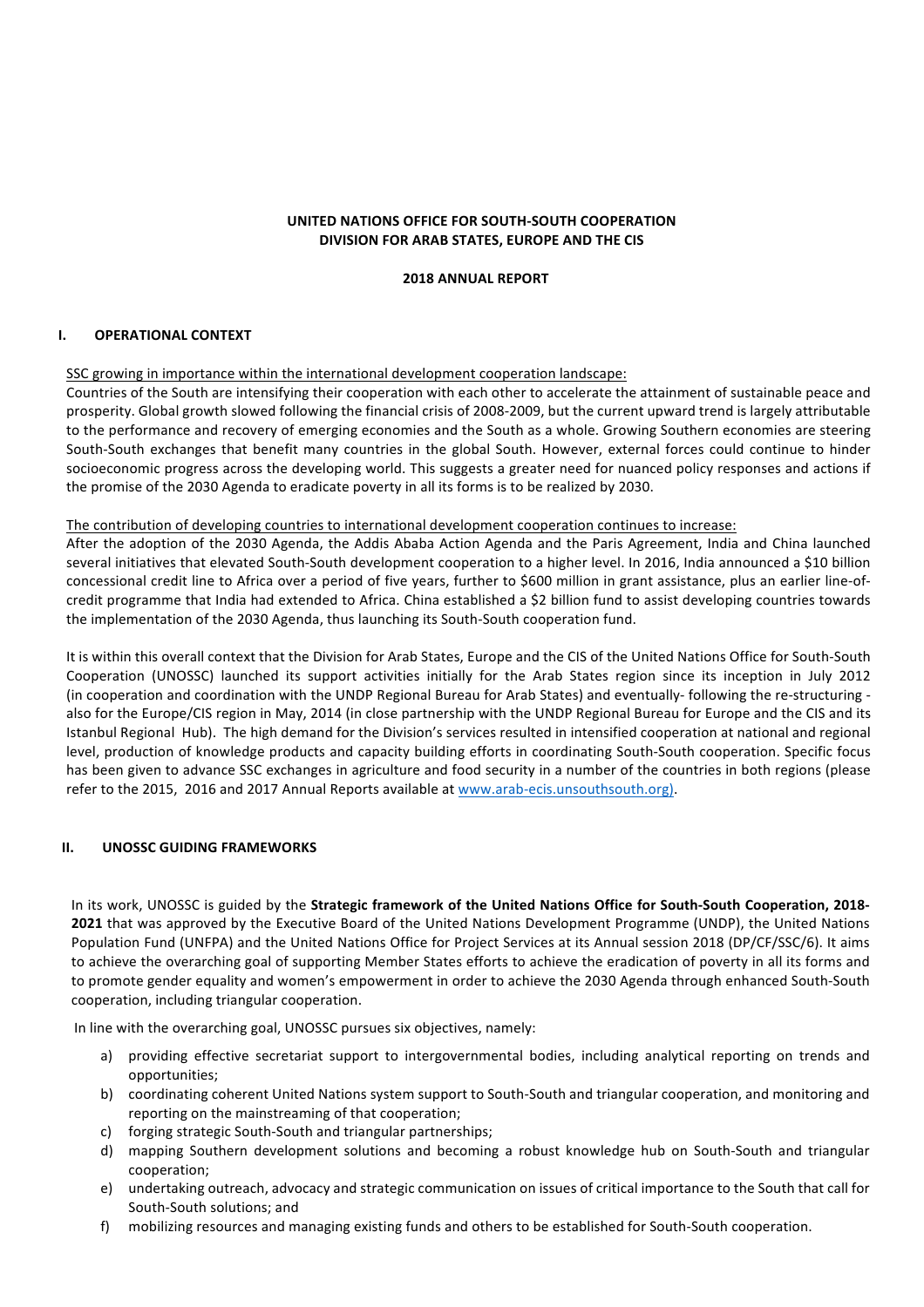## **UNITED NATIONS OFFICE FOR SOUTH-SOUTH COOPERATION DIVISION FOR ARAB STATES, EUROPE AND THE CIS**

#### **2018 ANNUAL REPORT**

#### **I. OPERATIONAL CONTEXT**

#### SSC growing in importance within the international development cooperation landscape:

Countries of the South are intensifying their cooperation with each other to accelerate the attainment of sustainable peace and prosperity. Global growth slowed following the financial crisis of 2008-2009, but the current upward trend is largely attributable to the performance and recovery of emerging economies and the South as a whole. Growing Southern economies are steering South-South exchanges that benefit many countries in the global South. However, external forces could continue to hinder socioeconomic progress across the developing world. This suggests a greater need for nuanced policy responses and actions if the promise of the 2030 Agenda to eradicate poverty in all its forms is to be realized by 2030.

#### The contribution of developing countries to international development cooperation continues to increase:

After the adoption of the 2030 Agenda, the Addis Ababa Action Agenda and the Paris Agreement, India and China launched several initiatives that elevated South-South development cooperation to a higher level. In 2016, India announced a \$10 billion concessional credit line to Africa over a period of five years, further to \$600 million in grant assistance, plus an earlier line-ofcredit programme that India had extended to Africa. China established a \$2 billion fund to assist developing countries towards the implementation of the 2030 Agenda, thus launching its South-South cooperation fund.

It is within this overall context that the Division for Arab States, Europe and the CIS of the United Nations Office for South-South Cooperation (UNOSSC) launched its support activities initially for the Arab States region since its inception in July 2012 (in cooperation and coordination with the UNDP Regional Bureau for Arab States) and eventually- following the re-structuring also for the Europe/CIS region in May, 2014 (in close partnership with the UNDP Regional Bureau for Europe and the CIS and its Istanbul Regional Hub). The high demand for the Division's services resulted in intensified cooperation at national and regional level, production of knowledge products and capacity building efforts in coordinating South-South cooperation. Specific focus has been given to advance SSC exchanges in agriculture and food security in a number of the countries in both regions (please refer to the 2015, 2016 and 2017 Annual Reports available at www.arab-ecis.unsouthsouth.org).

#### **II. UNOSSC GUIDING FRAMEWORKS**

In its work, UNOSSC is guided by the Strategic framework of the United Nations Office for South-South Cooperation, 2018-**2021** that was approved by the Executive Board of the United Nations Development Programme (UNDP), the United Nations Population Fund (UNFPA) and the United Nations Office for Project Services at its Annual session 2018 (DP/CF/SSC/6). It aims to achieve the overarching goal of supporting Member States efforts to achieve the eradication of poverty in all its forms and to promote gender equality and women's empowerment in order to achieve the 2030 Agenda through enhanced South-South cooperation, including triangular cooperation.

In line with the overarching goal, UNOSSC pursues six objectives, namely:

- a) providing effective secretariat support to intergovernmental bodies, including analytical reporting on trends and opportunities;
- b) coordinating coherent United Nations system support to South-South and triangular cooperation, and monitoring and reporting on the mainstreaming of that cooperation;
- c) forging strategic South-South and triangular partnerships;
- d) mapping Southern development solutions and becoming a robust knowledge hub on South-South and triangular cooperation;
- e) undertaking outreach, advocacy and strategic communication on issues of critical importance to the South that call for South-South solutions; and
- f) mobilizing resources and managing existing funds and others to be established for South-South cooperation.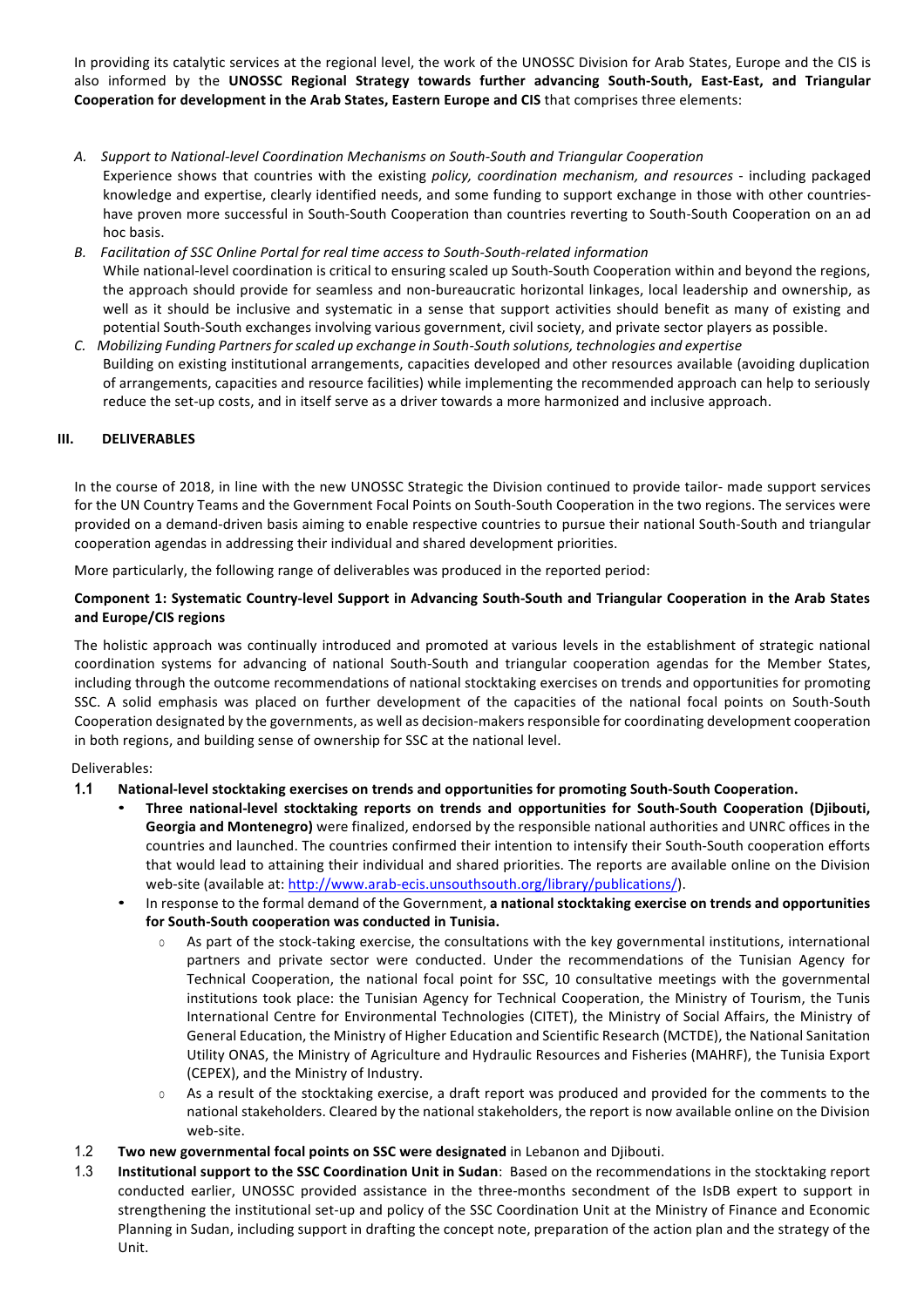In providing its catalytic services at the regional level, the work of the UNOSSC Division for Arab States, Europe and the CIS is also informed by the UNOSSC Regional Strategy towards further advancing South-South, East-East, and Triangular **Cooperation for development in the Arab States, Eastern Europe and CIS** that comprises three elements:

- *A. Support to National-level Coordination Mechanisms on South-South and Triangular Cooperation* Experience shows that countries with the existing *policy, coordination mechanism, and resources* - including packaged knowledge and expertise, clearly identified needs, and some funding to support exchange in those with other countrieshave proven more successful in South-South Cooperation than countries reverting to South-South Cooperation on an ad hoc basis.
- *B. Facilitation of SSC Online Portal for real time access to South-South-related information* While national-level coordination is critical to ensuring scaled up South-South Cooperation within and beyond the regions, the approach should provide for seamless and non-bureaucratic horizontal linkages, local leadership and ownership, as well as it should be inclusive and systematic in a sense that support activities should benefit as many of existing and potential South-South exchanges involving various government, civil society, and private sector players as possible.
- *C. Mobilizing Funding Partners for scaled up exchange in South-South solutions, technologies and expertise* Building on existing institutional arrangements, capacities developed and other resources available (avoiding duplication of arrangements, capacities and resource facilities) while implementing the recommended approach can help to seriously reduce the set-up costs, and in itself serve as a driver towards a more harmonized and inclusive approach.

## **III.** DELIVERABLES

In the course of 2018, in line with the new UNOSSC Strategic the Division continued to provide tailor- made support services for the UN Country Teams and the Government Focal Points on South-South Cooperation in the two regions. The services were provided on a demand-driven basis aiming to enable respective countries to pursue their national South-South and triangular cooperation agendas in addressing their individual and shared development priorities.

More particularly, the following range of deliverables was produced in the reported period:

# Component 1: Systematic Country-level Support in Advancing South-South and Triangular Cooperation in the Arab States **and Europe/CIS regions**

The holistic approach was continually introduced and promoted at various levels in the establishment of strategic national coordination systems for advancing of national South-South and triangular cooperation agendas for the Member States, including through the outcome recommendations of national stocktaking exercises on trends and opportunities for promoting SSC. A solid emphasis was placed on further development of the capacities of the national focal points on South-South Cooperation designated by the governments, as well as decision-makers responsible for coordinating development cooperation in both regions, and building sense of ownership for SSC at the national level.

#### Deliverables:

#### 1.1 National-level stocktaking exercises on trends and opportunities for promoting South-South Cooperation.

- **Three national-level stocktaking reports on trends and opportunities for South-South Cooperation (Djibouti, Georgia and Montenegro)** were finalized, endorsed by the responsible national authorities and UNRC offices in the countries and launched. The countries confirmed their intention to intensify their South-South cooperation efforts that would lead to attaining their individual and shared priorities. The reports are available online on the Division web-site (available at: http://www.arab-ecis.unsouthsouth.org/library/publications/).
- In response to the formal demand of the Government, a national stocktaking exercise on trends and opportunities for South-South cooperation was conducted in Tunisia.
	- $\circ$  As part of the stock-taking exercise, the consultations with the key governmental institutions, international partners and private sector were conducted. Under the recommendations of the Tunisian Agency for Technical Cooperation, the national focal point for SSC, 10 consultative meetings with the governmental institutions took place: the Tunisian Agency for Technical Cooperation, the Ministry of Tourism, the Tunis International Centre for Environmental Technologies (CITET), the Ministry of Social Affairs, the Ministry of General Education, the Ministry of Higher Education and Scientific Research (MCTDE), the National Sanitation Utility ONAS, the Ministry of Agriculture and Hydraulic Resources and Fisheries (MAHRF), the Tunisia Export (CEPEX), and the Ministry of Industry.
	- $\circ$  As a result of the stocktaking exercise, a draft report was produced and provided for the comments to the national stakeholders. Cleared by the national stakeholders, the report is now available online on the Division web-site.
- 1.2 Two new governmental focal points on SSC were designated in Lebanon and Djibouti.
- 1.3 **Institutional support to the SSC Coordination Unit in Sudan:** Based on the recommendations in the stocktaking report conducted earlier, UNOSSC provided assistance in the three-months secondment of the IsDB expert to support in strengthening the institutional set-up and policy of the SSC Coordination Unit at the Ministry of Finance and Economic Planning in Sudan, including support in drafting the concept note, preparation of the action plan and the strategy of the Unit.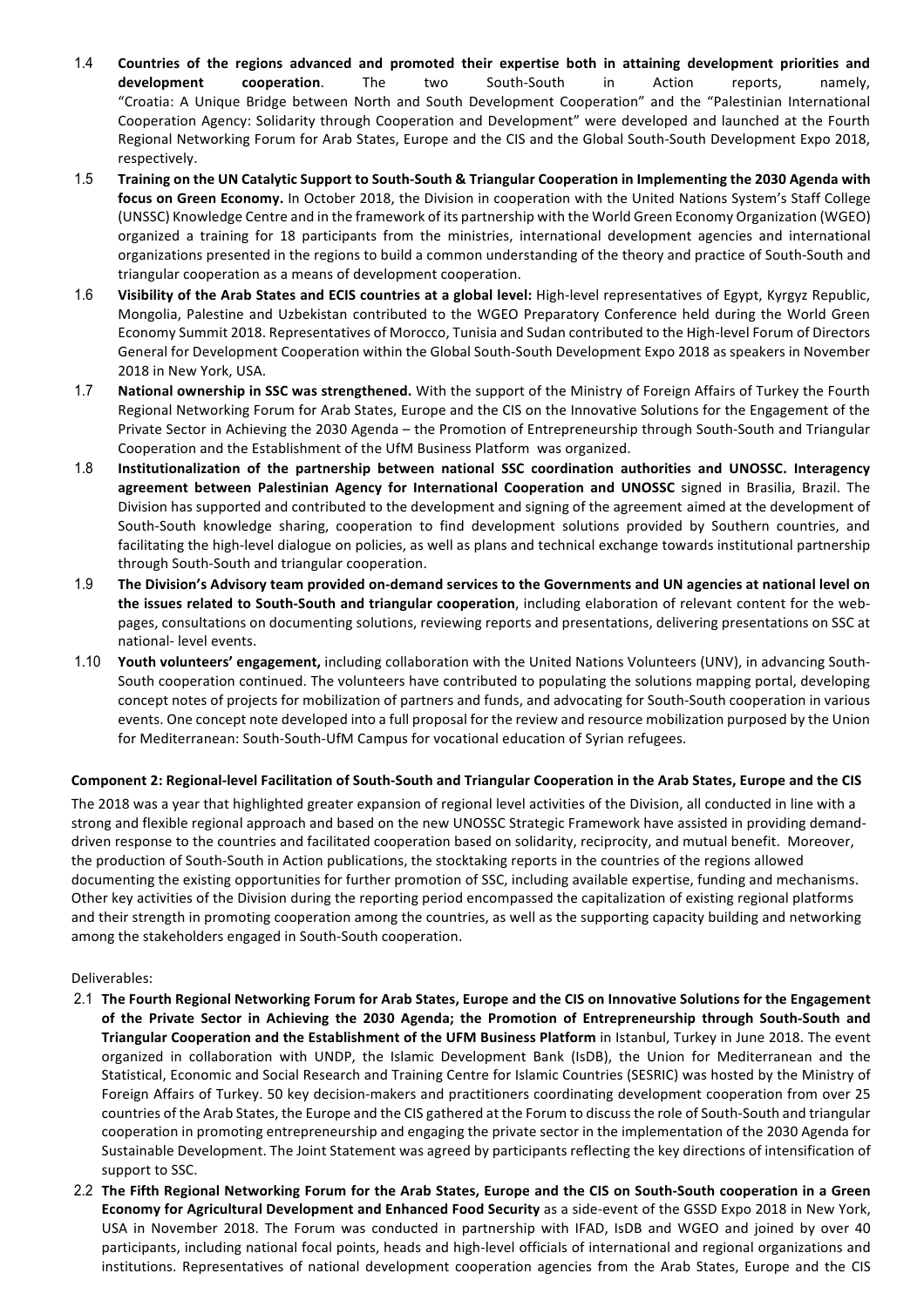- 1.4 Countries of the regions advanced and promoted their expertise both in attaining development priorities and **development cooperation**. The two South-South in Action reports, namely, "Croatia: A Unique Bridge between North and South Development Cooperation" and the "Palestinian International Cooperation Agency: Solidarity through Cooperation and Development" were developed and launched at the Fourth Regional Networking Forum for Arab States, Europe and the CIS and the Global South-South Development Expo 2018, respectively.
- 1.5 Training on the UN Catalytic Support to South-South & Triangular Cooperation in Implementing the 2030 Agenda with **focus on Green Economy.** In October 2018, the Division in cooperation with the United Nations System's Staff College (UNSSC) Knowledge Centre and in the framework of its partnership with the World Green Economy Organization (WGEO) organized a training for 18 participants from the ministries, international development agencies and international organizations presented in the regions to build a common understanding of the theory and practice of South-South and triangular cooperation as a means of development cooperation.
- 1.6 Visibility of the Arab States and ECIS countries at a global level: High-level representatives of Egypt, Kyrgyz Republic, Mongolia, Palestine and Uzbekistan contributed to the WGEO Preparatory Conference held during the World Green Economy Summit 2018. Representatives of Morocco, Tunisia and Sudan contributed to the High-level Forum of Directors General for Development Cooperation within the Global South-South Development Expo 2018 as speakers in November 2018 in New York, USA.
- 1.7 **National ownership in SSC was strengthened.** With the support of the Ministry of Foreign Affairs of Turkey the Fourth Regional Networking Forum for Arab States, Europe and the CIS on the Innovative Solutions for the Engagement of the Private Sector in Achieving the 2030 Agenda – the Promotion of Entrepreneurship through South-South and Triangular Cooperation and the Establishment of the UfM Business Platform was organized.
- 1.8 Institutionalization of the partnership between national SSC coordination authorities and UNOSSC. Interagency **agreement between Palestinian Agency for International Cooperation and UNOSSC** signed in Brasilia, Brazil. The Division has supported and contributed to the development and signing of the agreement aimed at the development of South-South knowledge sharing, cooperation to find development solutions provided by Southern countries, and facilitating the high-level dialogue on policies, as well as plans and technical exchange towards institutional partnership through South-South and triangular cooperation.
- 1.9 The Division's Advisory team provided on-demand services to the Governments and UN agencies at national level on **the issues related to South-South and triangular cooperation**, including elaboration of relevant content for the webpages, consultations on documenting solutions, reviewing reports and presentations, delivering presentations on SSC at national- level events.
- 1.10 **Youth volunteers' engagement,** including collaboration with the United Nations Volunteers (UNV), in advancing South-South cooperation continued. The volunteers have contributed to populating the solutions mapping portal, developing concept notes of projects for mobilization of partners and funds, and advocating for South-South cooperation in various events. One concept note developed into a full proposal for the review and resource mobilization purposed by the Union for Mediterranean: South-South-UfM Campus for vocational education of Syrian refugees.

# Component 2: Regional-level Facilitation of South-South and Triangular Cooperation in the Arab States, Europe and the CIS

The 2018 was a year that highlighted greater expansion of regional level activities of the Division, all conducted in line with a strong and flexible regional approach and based on the new UNOSSC Strategic Framework have assisted in providing demanddriven response to the countries and facilitated cooperation based on solidarity, reciprocity, and mutual benefit. Moreover, the production of South-South in Action publications, the stocktaking reports in the countries of the regions allowed documenting the existing opportunities for further promotion of SSC, including available expertise, funding and mechanisms. Other key activities of the Division during the reporting period encompassed the capitalization of existing regional platforms and their strength in promoting cooperation among the countries, as well as the supporting capacity building and networking among the stakeholders engaged in South-South cooperation.

#### Deliverables:

- 2.1 The Fourth Regional Networking Forum for Arab States, Europe and the CIS on Innovative Solutions for the Engagement of the Private Sector in Achieving the 2030 Agenda; the Promotion of Entrepreneurship through South-South and Triangular Cooperation and the Establishment of the UFM Business Platform in Istanbul, Turkey in June 2018. The event organized in collaboration with UNDP, the Islamic Development Bank (IsDB), the Union for Mediterranean and the Statistical, Economic and Social Research and Training Centre for Islamic Countries (SESRIC) was hosted by the Ministry of Foreign Affairs of Turkey. 50 key decision-makers and practitioners coordinating development cooperation from over 25 countries of the Arab States, the Europe and the CIS gathered at the Forum to discuss the role of South-South and triangular cooperation in promoting entrepreneurship and engaging the private sector in the implementation of the 2030 Agenda for Sustainable Development. The Joint Statement was agreed by participants reflecting the key directions of intensification of support to SSC.
- 2.2 The Fifth Regional Networking Forum for the Arab States, Europe and the CIS on South-South cooperation in a Green **Economy for Agricultural Development and Enhanced Food Security** as a side-event of the GSSD Expo 2018 in New York, USA in November 2018. The Forum was conducted in partnership with IFAD, IsDB and WGEO and joined by over 40 participants, including national focal points, heads and high-level officials of international and regional organizations and institutions. Representatives of national development cooperation agencies from the Arab States, Europe and the CIS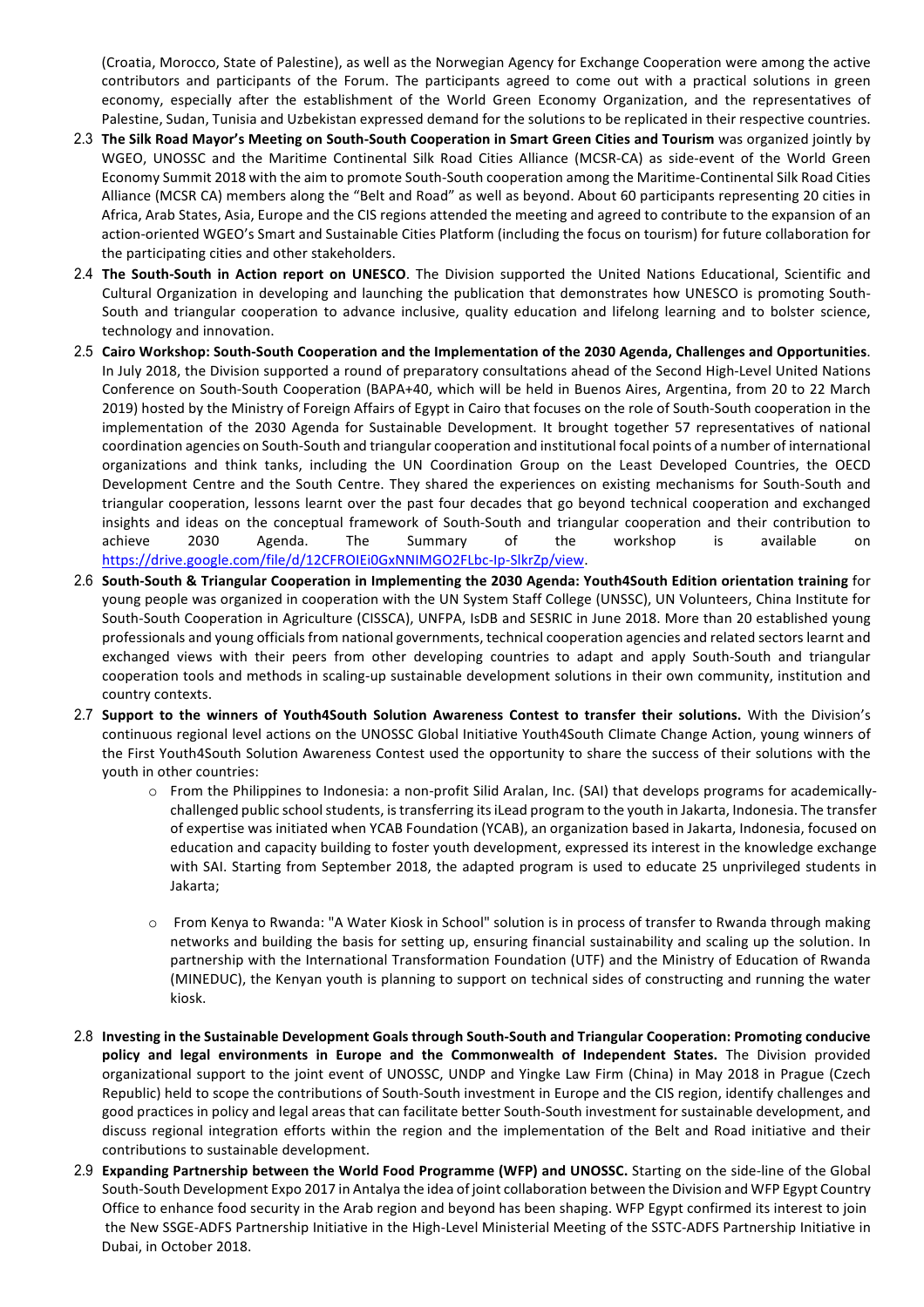(Croatia, Morocco, State of Palestine), as well as the Norwegian Agency for Exchange Cooperation were among the active contributors and participants of the Forum. The participants agreed to come out with a practical solutions in green economy, especially after the establishment of the World Green Economy Organization, and the representatives of Palestine, Sudan, Tunisia and Uzbekistan expressed demand for the solutions to be replicated in their respective countries.

- 2.3 The Silk Road Mayor's Meeting on South-South Cooperation in Smart Green Cities and Tourism was organized iointly by WGEO, UNOSSC and the Maritime Continental Silk Road Cities Alliance (MCSR-CA) as side-event of the World Green Economy Summit 2018 with the aim to promote South-South cooperation among the Maritime-Continental Silk Road Cities Alliance (MCSR CA) members along the "Belt and Road" as well as beyond. About 60 participants representing 20 cities in Africa, Arab States, Asia, Europe and the CIS regions attended the meeting and agreed to contribute to the expansion of an action-oriented WGEO's Smart and Sustainable Cities Platform (including the focus on tourism) for future collaboration for the participating cities and other stakeholders.
- 2.4 The South-South in Action report on UNESCO. The Division supported the United Nations Educational, Scientific and Cultural Organization in developing and launching the publication that demonstrates how UNESCO is promoting South-South and triangular cooperation to advance inclusive, quality education and lifelong learning and to bolster science, technology and innovation.
- 2.5 Cairo Workshop: South-South Cooperation and the Implementation of the 2030 Agenda, Challenges and Opportunities. In July 2018, the Division supported a round of preparatory consultations ahead of the Second High-Level United Nations Conference on South-South Cooperation (BAPA+40, which will be held in Buenos Aires, Argentina, from 20 to 22 March 2019) hosted by the Ministry of Foreign Affairs of Egypt in Cairo that focuses on the role of South-South cooperation in the implementation of the 2030 Agenda for Sustainable Development. It brought together 57 representatives of national coordination agencies on South-South and triangular cooperation and institutional focal points of a number of international organizations and think tanks, including the UN Coordination Group on the Least Developed Countries, the OECD Development Centre and the South Centre. They shared the experiences on existing mechanisms for South-South and triangular cooperation, lessons learnt over the past four decades that go beyond technical cooperation and exchanged insights and ideas on the conceptual framework of South-South and triangular cooperation and their contribution to achieve 2030 Agenda. The Summary of the workshop is available on https://drive.google.com/file/d/12CFROIEi0GxNNIMGO2FLbc-Ip-SlkrZp/view.
- 2.6 South-South & Triangular Cooperation in Implementing the 2030 Agenda: Youth4South Edition orientation training for young people was organized in cooperation with the UN System Staff College (UNSSC), UN Volunteers, China Institute for South-South Cooperation in Agriculture (CISSCA), UNFPA, IsDB and SESRIC in June 2018. More than 20 established young professionals and young officials from national governments, technical cooperation agencies and related sectors learnt and exchanged views with their peers from other developing countries to adapt and apply South-South and triangular cooperation tools and methods in scaling-up sustainable development solutions in their own community, institution and country contexts.
- 2.7 Support to the winners of Youth4South Solution Awareness Contest to transfer their solutions. With the Division's continuous regional level actions on the UNOSSC Global Initiative Youth4South Climate Change Action, young winners of the First Youth4South Solution Awareness Contest used the opportunity to share the success of their solutions with the youth in other countries:
	- $\circ$  From the Philippines to Indonesia: a non-profit Silid Aralan, Inc. (SAI) that develops programs for academicallychallenged public school students, is transferring its iLead program to the youth in Jakarta, Indonesia. The transfer of expertise was initiated when YCAB Foundation (YCAB), an organization based in Jakarta, Indonesia, focused on education and capacity building to foster youth development, expressed its interest in the knowledge exchange with SAI. Starting from September 2018, the adapted program is used to educate 25 unprivileged students in Jakarta;
	- $\circ$  From Kenya to Rwanda: "A Water Kiosk in School" solution is in process of transfer to Rwanda through making networks and building the basis for setting up, ensuring financial sustainability and scaling up the solution. In partnership with the International Transformation Foundation (UTF) and the Ministry of Education of Rwanda (MINEDUC), the Kenyan youth is planning to support on technical sides of constructing and running the water kiosk.
- 2.8 Investing in the Sustainable Development Goals through South-South and Triangular Cooperation: Promoting conducive policy and legal environments in Europe and the Commonwealth of Independent States. The Division provided organizational support to the joint event of UNOSSC, UNDP and Yingke Law Firm (China) in May 2018 in Prague (Czech Republic) held to scope the contributions of South-South investment in Europe and the CIS region, identify challenges and good practices in policy and legal areas that can facilitate better South-South investment for sustainable development, and discuss regional integration efforts within the region and the implementation of the Belt and Road initiative and their contributions to sustainable development.
- 2.9 **Expanding Partnership between the World Food Programme (WFP) and UNOSSC.** Starting on the side-line of the Global South-South Development Expo 2017 in Antalya the idea of joint collaboration between the Division and WFP Egypt Country Office to enhance food security in the Arab region and beyond has been shaping. WFP Egypt confirmed its interest to join the New SSGE-ADFS Partnership Initiative in the High-Level Ministerial Meeting of the SSTC-ADFS Partnership Initiative in Dubai, in October 2018.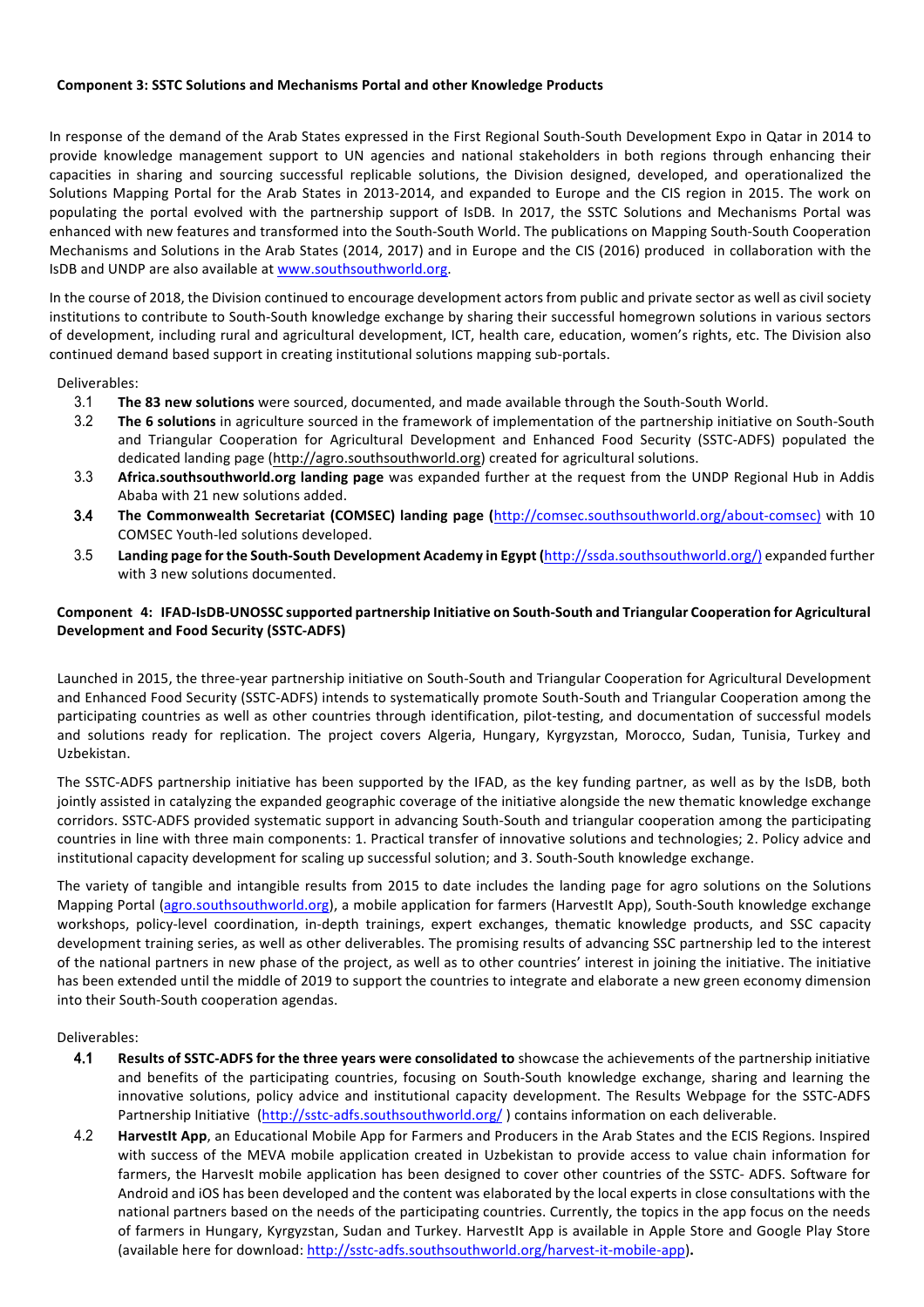#### **Component 3: SSTC Solutions and Mechanisms Portal and other Knowledge Products**

In response of the demand of the Arab States expressed in the First Regional South-South Development Expo in Qatar in 2014 to provide knowledge management support to UN agencies and national stakeholders in both regions through enhancing their capacities in sharing and sourcing successful replicable solutions, the Division designed, developed, and operationalized the Solutions Mapping Portal for the Arab States in 2013-2014, and expanded to Europe and the CIS region in 2015. The work on populating the portal evolved with the partnership support of IsDB. In 2017, the SSTC Solutions and Mechanisms Portal was enhanced with new features and transformed into the South-South World. The publications on Mapping South-South Cooperation Mechanisms and Solutions in the Arab States (2014, 2017) and in Europe and the CIS (2016) produced in collaboration with the IsDB and UNDP are also available at www.southsouthworld.org.

In the course of 2018, the Division continued to encourage development actors from public and private sector as well as civil society institutions to contribute to South-South knowledge exchange by sharing their successful homegrown solutions in various sectors of development, including rural and agricultural development, ICT, health care, education, women's rights, etc. The Division also continued demand based support in creating institutional solutions mapping sub-portals.

Deliverables:

- 3.1 The 83 new solutions were sourced, documented, and made available through the South-South World.
- 3.2 The 6 solutions in agriculture sourced in the framework of implementation of the partnership initiative on South-South and Triangular Cooperation for Agricultural Development and Enhanced Food Security (SSTC-ADFS) populated the dedicated landing page (http://agro.southsouthworld.org) created for agricultural solutions.
- 3.3 **Africa.southsouthworld.org landing page** was expanded further at the request from the UNDP Regional Hub in Addis Ababa with 21 new solutions added.
- 3.4 The Commonwealth Secretariat (COMSEC) landing page (http://comsec.southsouthworld.org/about-comsec) with 10 COMSEC Youth-led solutions developed.
- 3.5 Landing page for the South-South Development Academy in Egypt (http://ssda.southsouthworld.org/) expanded further with 3 new solutions documented.

## Component 4: IFAD-IsDB-UNOSSC supported partnership Initiative on South-South and Triangular Cooperation for Agricultural **Development and Food Security (SSTC-ADFS)**

Launched in 2015, the three-year partnership initiative on South-South and Triangular Cooperation for Agricultural Development and Enhanced Food Security (SSTC-ADFS) intends to systematically promote South-South and Triangular Cooperation among the participating countries as well as other countries through identification, pilot-testing, and documentation of successful models and solutions ready for replication. The project covers Algeria, Hungary, Kyrgyzstan, Morocco, Sudan, Tunisia, Turkey and Uzbekistan.

The SSTC-ADFS partnership initiative has been supported by the IFAD, as the key funding partner, as well as by the IsDB, both jointly assisted in catalyzing the expanded geographic coverage of the initiative alongside the new thematic knowledge exchange corridors. SSTC-ADFS provided systematic support in advancing South-South and triangular cooperation among the participating countries in line with three main components: 1. Practical transfer of innovative solutions and technologies; 2. Policy advice and institutional capacity development for scaling up successful solution; and 3. South-South knowledge exchange.

The variety of tangible and intangible results from 2015 to date includes the landing page for agro solutions on the Solutions Mapping Portal (agro.southsouthworld.org), a mobile application for farmers (HarvestIt App), South-South knowledge exchange workshops, policy-level coordination, in-depth trainings, expert exchanges, thematic knowledge products, and SSC capacity development training series, as well as other deliverables. The promising results of advancing SSC partnership led to the interest of the national partners in new phase of the project, as well as to other countries' interest in joining the initiative. The initiative has been extended until the middle of 2019 to support the countries to integrate and elaborate a new green economy dimension into their South-South cooperation agendas.

Deliverables:

- 4.1 Results of SSTC-ADFS for the three years were consolidated to showcase the achievements of the partnership initiative and benefits of the participating countries, focusing on South-South knowledge exchange, sharing and learning the innovative solutions, policy advice and institutional capacity development. The Results Webpage for the SSTC-ADFS Partnership Initiative (http://sstc-adfs.southsouthworld.org/) contains information on each deliverable.
- 4.2 **Harvestit App**, an Educational Mobile App for Farmers and Producers in the Arab States and the ECIS Regions. Inspired with success of the MEVA mobile application created in Uzbekistan to provide access to value chain information for farmers, the HarvesIt mobile application has been designed to cover other countries of the SSTC- ADFS. Software for Android and iOS has been developed and the content was elaborated by the local experts in close consultations with the national partners based on the needs of the participating countries. Currently, the topics in the app focus on the needs of farmers in Hungary, Kyrgyzstan, Sudan and Turkey. Harvestlt App is available in Apple Store and Google Play Store (available here for download: http://sstc-adfs.southsouthworld.org/harvest-it-mobile-app).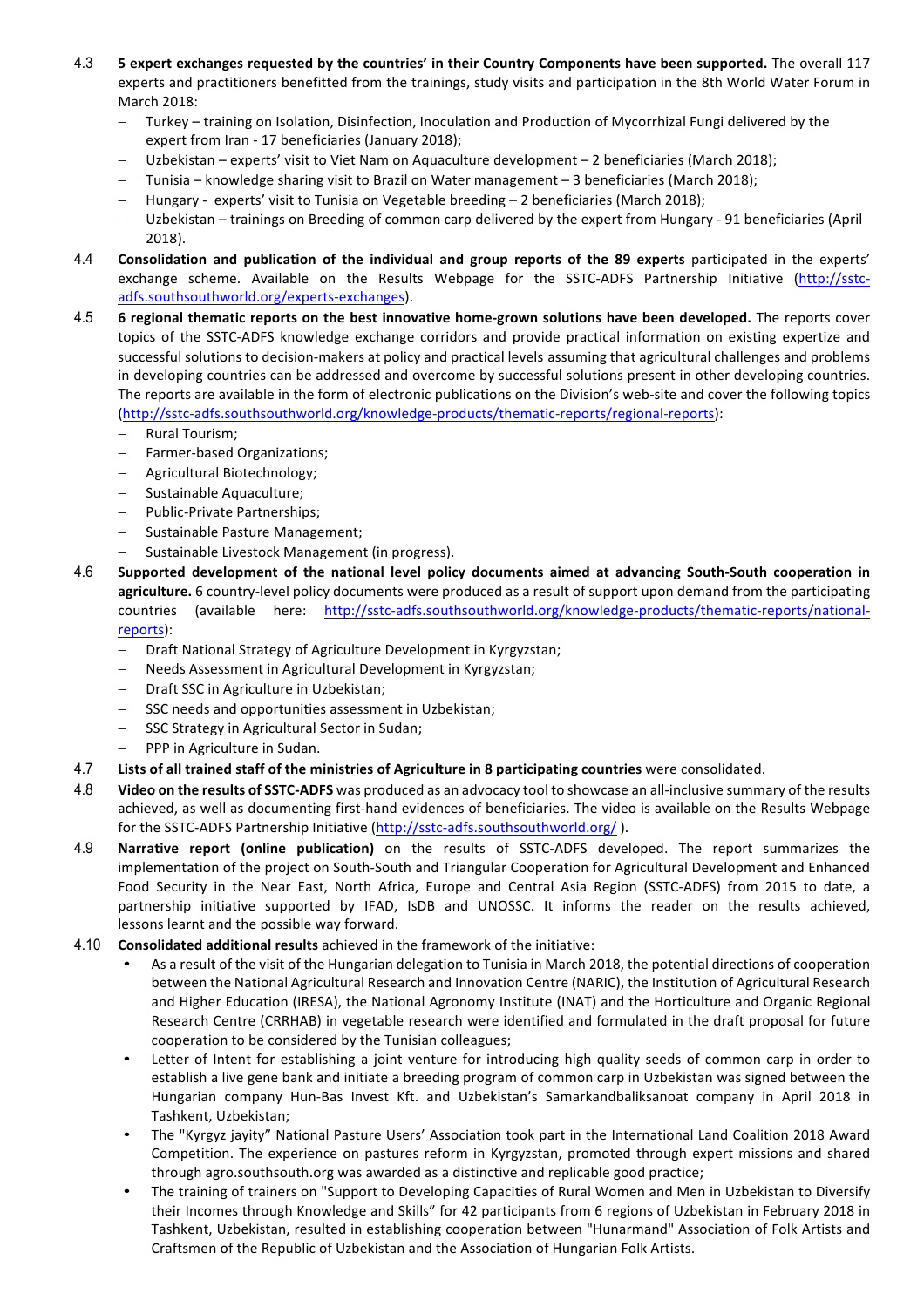- 4.3 **5** expert exchanges requested by the countries' in their Country Components have been supported. The overall 117 experts and practitioners benefitted from the trainings, study visits and participation in the 8th World Water Forum in March 2018:
	- Turkey training on Isolation, Disinfection, Inoculation and Production of Mycorrhizal Fungi delivered by the expert from Iran - 17 beneficiaries (January 2018);
	- Uzbekistan experts' visit to Viet Nam on Aquaculture development 2 beneficiaries (March 2018);
	- Tunisia knowledge sharing visit to Brazil on Water management 3 beneficiaries (March 2018);
	- Hungary experts' visit to Tunisia on Vegetable breeding  $-$  2 beneficiaries (March 2018);
	- Uzbekistan trainings on Breeding of common carp delivered by the expert from Hungary 91 beneficiaries (April 2018).
- 4.4 **Consolidation and publication of the individual and group reports of the 89 experts** participated in the experts' exchange scheme. Available on the Results Webpage for the SSTC-ADFS Partnership Initiative (http://sstcadfs.southsouthworld.org/experts-exchanges).
- 4.5 **6 regional thematic reports on the best innovative home-grown solutions have been developed. The reports cover** topics of the SSTC-ADFS knowledge exchange corridors and provide practical information on existing expertize and successful solutions to decision-makers at policy and practical levels assuming that agricultural challenges and problems in developing countries can be addressed and overcome by successful solutions present in other developing countries. The reports are available in the form of electronic publications on the Division's web-site and cover the following topics (http://sstc-adfs.southsouthworld.org/knowledge-products/thematic-reports/regional-reports):
	- Rural Tourism;
	- Farmer-based Organizations;
	- Agricultural Biotechnology;
	- Sustainable Aquaculture;
	- Public-Private Partnerships;
	- Sustainable Pasture Management;
	- Sustainable Livestock Management (in progress).
- 4.6 Supported development of the national level policy documents aimed at advancing South-South cooperation in **agriculture.** 6 country-level policy documents were produced as a result of support upon demand from the participating countries (available here: http://sstc-adfs.southsouthworld.org/knowledge-products/thematic-reports/nationalreports):
	- Draft National Strategy of Agriculture Development in Kyrgyzstan;
	- Needs Assessment in Agricultural Development in Kyrgyzstan;
	- Draft SSC in Agriculture in Uzbekistan;
	- SSC needs and opportunities assessment in Uzbekistan:
	- SSC Strategy in Agricultural Sector in Sudan:
	- PPP in Agriculture in Sudan.
- 4.7 **Lists of all trained staff of the ministries of Agriculture in 8 participating countries were consolidated.**
- 4.8 Video on the results of SSTC-ADFS was produced as an advocacy tool to showcase an all-inclusive summary of the results achieved, as well as documenting first-hand evidences of beneficiaries. The video is available on the Results Webpage for the SSTC-ADFS Partnership Initiative (http://sstc-adfs.southsouthworld.org/).
- 4.9 **Narrative report (online publication)** on the results of SSTC-ADFS developed. The report summarizes the implementation of the project on South-South and Triangular Cooperation for Agricultural Development and Enhanced Food Security in the Near East, North Africa, Europe and Central Asia Region (SSTC-ADFS) from 2015 to date, a partnership initiative supported by IFAD, IsDB and UNOSSC. It informs the reader on the results achieved, lessons learnt and the possible way forward.
- 4.10 **Consolidated additional results** achieved in the framework of the initiative:
	- As a result of the visit of the Hungarian delegation to Tunisia in March 2018, the potential directions of cooperation between the National Agricultural Research and Innovation Centre (NARIC), the Institution of Agricultural Research and Higher Education (IRESA), the National Agronomy Institute (INAT) and the Horticulture and Organic Regional Research Centre (CRRHAB) in vegetable research were identified and formulated in the draft proposal for future cooperation to be considered by the Tunisian colleagues;
	- Letter of Intent for establishing a joint venture for introducing high quality seeds of common carp in order to establish a live gene bank and initiate a breeding program of common carp in Uzbekistan was signed between the Hungarian company Hun-Bas Invest Kft. and Uzbekistan's Samarkandbaliksanoat company in April 2018 in Tashkent, Uzbekistan;
	- The "Kyrgyz jayity" National Pasture Users' Association took part in the International Land Coalition 2018 Award Competition. The experience on pastures reform in Kyrgyzstan, promoted through expert missions and shared through agro.southsouth.org was awarded as a distinctive and replicable good practice;
	- The training of trainers on "Support to Developing Capacities of Rural Women and Men in Uzbekistan to Diversify their Incomes through Knowledge and Skills" for 42 participants from 6 regions of Uzbekistan in February 2018 in Tashkent, Uzbekistan, resulted in establishing cooperation between "Hunarmand" Association of Folk Artists and Craftsmen of the Republic of Uzbekistan and the Association of Hungarian Folk Artists.